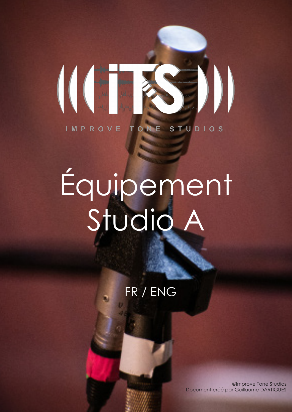

# Équipement Studio A

# FR / ENG

©Improve Tone Studios Document créé par Guillaume DARTIGUES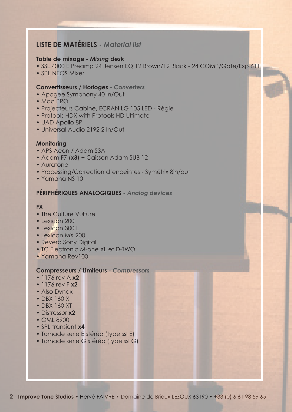# **LISTE DE MATÉRIELS -** *Material list*

#### **Table de mixage** *- Mixing desk*

- SSL 4000 E Preamp 24 Jensen EQ 12 Brown/12 Black 24 COMP/Gate/Exp 611
- SPL NEOS Mixer

#### **Convertisseurs / Horloges** *- Converters*

- Apogee Symphony 40 In/Out
- Mac PRO
- Projecteurs Cabine, ECRAN LG 105 LED Régie
- Protools HDX with Protools HD Ultimate
- UAD Apollo 8P
- Universal Audio 2192 2 In/Out

#### **Monitoring**

- APS Aeon / Adam S3A
- Adam F7 (**x3**) + Caisson Adam SUB 12
- Auratone
- Processing/Correction d'enceintes Symétrix 8in/out
- Yamaha NS 10

# **PÉRIPHÉRIQUES ANALOGIQUES** *- Analog devices*

#### **FX**

- The Culture Vulture
- Lexicon 200
- Lexicon 300 L
- Lexicon MX 200
- Reverb Sony Digital
- TC Flectronic M-one XL et D-TWO
- Yamaha Rev100

#### **Compresseurs / Limiteurs** *- Compressors*

- 1176 rev A **x2**
- 1176 rev F **x2**
- Also Dynax
- DBX 160 X
- DBX 160 XT
- Distressor **x2**
- GMI 8900
- SPL transient **x4**
- Tornade serie E stéréo (type ssl E)
- Tornade serie G stéréo (type ssl G)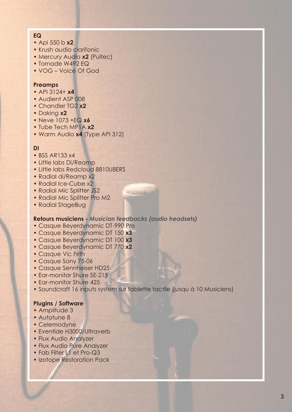#### **EQ**

- Api 550 b **x2**
- Krush audio clarifonic
- Mercury Audio **x2** (Pultec)
- Tornade W492 EQ
- VOG Voice Of God

#### **Preamps**

- API 3124+ **x4**
- Audient ASP 008
- Chandler TG2 **x2**
- Daking **x2**
- Neve 1073 +EQ **x6**
- Tube Tech MP1A **x2**
- Warm Audio **x4** (Type API 312)

#### **DI**

- BSS AR133 x4
- Little labs Di/Reamp
- Little labs Redcloud 8810U8ERS
- Radial di/Reamp x2
- Radial Ice-Cube x2
- Radial Mic Splitter JS2
- Radial Mic Splitter Pro M2
- Radial StageBug

#### **Retours musiciens** *- Musician feedbacks (audio headsets)*

- Casque Beyerdynamic DT-990 Pro
- Casque Beyerdynamic DT 150 **x3**
- Casque Beyerdynamic DT 100 **x3**
- Casque Beyerdynamic DT 770 **x2**
- Casque Vic Firth
- Casque Sony 75-06
- Casque Sennheiser HD25
- Ear-monitor Shure SE-215
- Ear-monitor Shure 425
- Soundcraft 16 inputs system sur tablette tactile (jusqu à 10 Musiciens)

#### **Plugins / Software**

- Amplitude 3
- Autotune 8
- Celemodyne
- Eventide H3000/Ultraverb
- Flux Audio Analyzer
- Flux Audio Pure Analyzer
- Fab Filter L1 et Pro-Q3
- Izotope Restoration Pack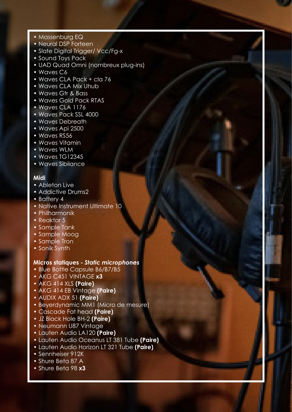- Massenburg EQ
- Neural DSP Forteen
- Slate Digital Trigger/ Vcc/Fg-x
- Sound Toys Pack
- UAD Quad Omni (nombreux plug-ins)
- Waves C6
- Waves CLA Pack + cla 76
- Waves CLA Mix Uhub
- Waves Gtr & Bass
- Waves Gold Pack RTAS
- Waves CLA 1176
- Waves Pack SSL 4000
- Waves Debreath
- Waves Api 2500
- Waves RS56
- Waves Vitamin
- Waves WLM
- Waves TG12345
- Waves Sibilance

# **Midi**

- Ableton Live
- Addictive Drums2
- Battery 4
- Native Instrument Ultimate 10
- Philharmonik
- Reaktor 5
- Sample Tank
- Sample Moog
- Sample Tron
- Sonik Synth

#### **Micros statiques -** *Static microphones*

- Blue Bottle Capsule B6/B7/B5
- AKG C451 VINTAGE **x3**
- AKG 414 XLS **(Paire)**
- AKG 414 EB Vintage **(Paire)**
- AUDIX ADX 51 **(Paire)**
- Beyerdynamic MM1 (Micro de mesure)
- Cascade Fat head **(Paire)**
- JZ Black Hole BH-2 **(Paire)**
- Neumann U87 Vintage
- Lauten Audio LA120 **(Paire)**
- Lauten Audio Oceanus LT 381 Tube **(Paire)**

**4** - **Improve Tone Studios** • Hervé FAIVRE • Domaine de Brioux LEZOUX 63190 • +33 (0) 6 61 98 59 65

- Lauten Audio Horizon LT 321 Tube **(Paire)**
- Sennheiser 912K
- Shure Beta 87 A
- Shure Beta 98 **x3**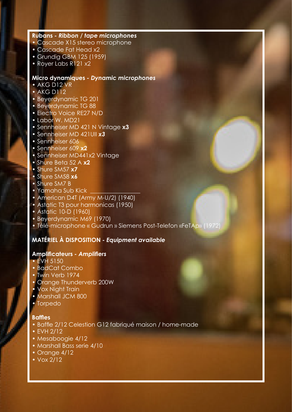#### **Rubans** *- Ribbon / tape microphones*

- Cascade X15 stereo microphone
- Cascade Fat Head x2
- Grundig GBM 125 (1959)
- Royer Labs R121 x2

# **Micro dynamiques** *- Dynamic microphones*

- AKG D12 VR
- AKG D112
- Beyerdynamic TG 201
- Beyerdynamic TG 88
- Electro Voice RE27 N/D
- Labor W. MD21
- Sennheiser MD 421 N Vintage **x3**
- Sennheiser MD 421UII *x3*
- Sennheiser 606
- Sennheiser 609 **x2**
- Sennheiser MD441x2 Vintage
- Shure Beta 52 A **x2**
- Shure SM57 **x7**
- Shure SM58 **x6**
- Shure SM7 B
- Yamaha Sub Kick
- American D4T (Army M-U/2) (1940)
- Astatic T3 pour harmonicas (1950)
- Astatic 10-D (1960)
- Beyerdynamic M69 (1970)
- Télé-microphone « Gudrun » Siemens Post-Telefon «FeTAp» (1972)

#### **MATÉRIEL À DISPOSITION** *- Equipment available*

#### **Amplificateurs** *- Amplifiers*

- EVH 5150
- BadCat Combo
- Twin Verb 1974
- Orange Thunderverb 200W
- Vox Night Train
- Marshall JCM 800
- Torpedo

#### **Baffles**

- Baffle 2/12 Celestion G12 fabriqué maison / home-made
- EVH 2/12
- Mesaboogie 4/12
- Marshall Bass serie 4/10
- Orange 4/12
- Vox 2/12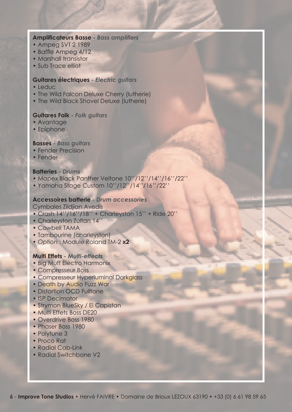#### **Amplificateurs Basse** *- Bass amplifiers*

- Ampeg SVT 2 1989
- Baffle Ampeg 4/12
- Marshall transistor
- Sub Trace elliot

#### **Guitares électriques** *- Electric guitars*

- Leduc
- The Wild Falcon Deluxe Cherry (lutherie)
- The Wild Black Shovel Deluxe (lutherie)

#### **Guitares Folk** *- Folk guitars*

- Avantage
- Epiphone

#### **Basses** *- Bass guitars*

- Fender Precision
- Fender

#### **Batteries** *- Drums*

- Mapex Black Panther Veltone 10''/12''/14''/16''/22''
- Yamaha Stage Custom 10''/12''/14''/16''/22''

#### **Accessoires batterie** *- Drum accessories*

Cymbales Zildjian Avedis

- Crash 14''/16''/18'' + Charleyston 15'' + Ride 20''
- Charleyston Zultan 14''
- Cowbell TAMA
- Tambourine (charleyston)
- *Option* : Module Roland TM-2 **x2**

#### **Multi Effets** *- Multi-effects*

- Big Muff Electro Harmonix
- Compresseur Boss
- Compresseur Hyperluminal Darkglass
- Death by Audio Fuzz War
- Distortion OCD Fulltone
- ISP Decimator
- Strymon BlueSky / El Capistan
- Multi Effets Boss DE20
- Overdrive Boss 1980
- Phaser Boss 1980
- Polytune 3
- Proco Rat
- Radial Cab-Link
- Radial Switchbone V2